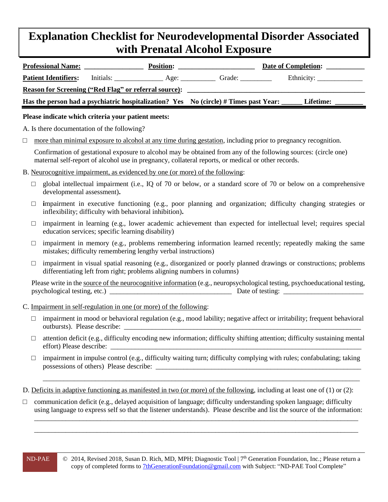## **Explanation Checklist for Neurodevelopmental Disorder Associated with Prenatal Alcohol Exposure**

| <b>Professional Name:</b>                                    |           | <b>Position:</b> |                                                                                      | Date of Completion: |
|--------------------------------------------------------------|-----------|------------------|--------------------------------------------------------------------------------------|---------------------|
| <b>Patient Identifiers:</b>                                  | Initials: |                  | Grade:                                                                               |                     |
| <b>Reason for Screening ("Red Flag" or referral source):</b> |           |                  |                                                                                      |                     |
|                                                              |           |                  | Has the person had a psychiatric hospitalization? Yes No (circle) # Times past Year: | <b>Lifetime:</b>    |
|                                                              |           |                  |                                                                                      |                     |

## **Please indicate which criteria your patient meets:**

A. Is there documentation of the following?

 $\Box$  more than minimal exposure to alcohol at any time during gestation, including prior to pregnancy recognition.

Confirmation of gestational exposure to alcohol may be obtained from any of the following sources: (circle one) maternal self-report of alcohol use in pregnancy, collateral reports, or medical or other records.

- B. Neurocognitive impairment, as evidenced by one (or more) of the following:
	- $\square$  global intellectual impairment (i.e., IQ of 70 or below, or a standard score of 70 or below on a comprehensive developmental assessment)**.**
	- □ **i**mpairment in executive functioning (e.g., poor planning and organization; difficulty changing strategies or inflexibility; difficulty with behavioral inhibition)**.**
	- $\Box$  impairment in learning (e.g., lower academic achievement than expected for intellectual level; requires special education services; specific learning disability)
	- $\square$  impairment in memory (e.g., problems remembering information learned recently; repeatedly making the same mistakes; difficulty remembering lengthy verbal instructions)
	- $\Box$  impairment in visual spatial reasoning (e.g., disorganized or poorly planned drawings or constructions; problems differentiating left from right; problems aligning numbers in columns)

Please write in the source of the neurocognitive information (e.g., neuropsychological testing, psychoeducational testing, psychological testing, etc.) \_\_\_\_\_\_\_\_\_\_\_\_\_\_\_\_\_\_\_\_\_\_\_\_\_\_\_\_\_\_\_\_\_\_\_ Date of testing: \_\_\_\_\_\_\_\_\_\_\_\_\_\_\_\_\_\_\_\_\_\_\_

- C. Impairment in self-regulation in one (or more) of the following:
	- $\Box$  impairment in mood or behavioral regulation (e.g., mood lability; negative affect or irritability; frequent behavioral outbursts). Please describe: \_\_\_\_\_\_\_\_\_\_\_\_\_\_\_\_\_\_\_\_\_\_\_\_\_\_\_\_\_\_\_\_\_\_\_\_\_\_\_\_\_\_\_\_\_\_\_\_\_\_\_\_\_\_\_\_\_\_\_\_\_\_\_\_\_\_\_\_
	- $\Box$  attention deficit (e.g., difficulty encoding new information; difficulty shifting attention; difficulty sustaining mental effort) Please describe:
	- $\Box$  impairment in impulse control (e.g., difficulty waiting turn; difficulty complying with rules; confabulating; taking possessions of others) Please describe:

\_\_\_\_\_\_\_\_\_\_\_\_\_\_\_\_\_\_\_\_\_\_\_\_\_\_\_\_\_\_\_\_\_\_\_\_\_\_\_\_\_\_\_\_\_\_\_\_\_\_\_\_\_\_\_\_\_\_\_\_\_\_\_\_\_\_\_\_\_\_\_\_\_\_\_\_\_\_\_\_\_\_\_\_\_\_\_\_\_\_\_

D. Deficits in adaptive functioning as manifested in two (or more) of the following, including at least one of (1) or (2):

□ communication deficit (e.g., delayed acquisition of language; difficulty understanding spoken language; difficulty using language to express self so that the listener understands). Please describe and list the source of the information:

\_\_\_\_\_\_\_\_\_\_\_\_\_\_\_\_\_\_\_\_\_\_\_\_\_\_\_\_\_\_\_\_\_\_\_\_\_\_\_\_\_\_\_\_\_\_\_\_\_\_\_\_\_\_\_\_\_\_\_\_\_\_\_\_\_\_\_\_\_\_\_\_\_\_\_\_\_\_\_\_\_\_\_\_\_\_\_\_\_\_\_\_\_ \_\_\_\_\_\_\_\_\_\_\_\_\_\_\_\_\_\_\_\_\_\_\_\_\_\_\_\_\_\_\_\_\_\_\_\_\_\_\_\_\_\_\_\_\_\_\_\_\_\_\_\_\_\_\_\_\_\_\_\_\_\_\_\_\_\_\_\_\_\_\_\_\_\_\_\_\_\_\_\_\_\_\_\_\_\_\_\_\_\_\_\_\_

ND-PAE © 2014, Revised 2018, Susan D. Rich, MD, MPH; Diagnostic Tool | 7<sup>th</sup> Generation Foundation, Inc.; Please return a copy of completed forms to [7thGenerationFoundation@gmail.com](mailto:7thGenerationFoundation@gmail.com) with Subject: "ND-PAE Tool Complete"